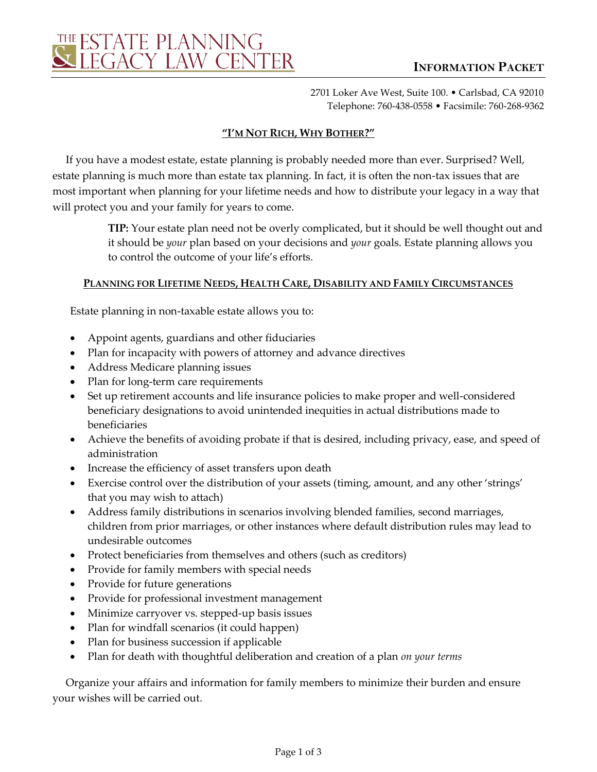2701 Loker Ave West, Suite 100. • Carlsbad, CA 92010 Telephone: 760-438-0558 • Facsimile: 760-268-9362

# **"I'M NOT RICH, WHY BOTHER?"**

If you have a modest estate, estate planning is probably needed more than ever. Surprised? Well, estate planning is much more than estate tax planning. In fact, it is often the non-tax issues that are most important when planning for your lifetime needs and how to distribute your legacy in a way that will protect you and your family for years to come.

> **TIP:** Your estate plan need not be overly complicated, but it should be well thought out and it should be *your* plan based on your decisions and *your* goals. Estate planning allows you to control the outcome of your life's efforts.

## **PLANNING FOR LIFETIME NEEDS, HEALTH CARE, DISABILITY AND FAMILY CIRCUMSTANCES**

Estate planning in non-taxable estate allows you to:

- Appoint agents, guardians and other fiduciaries
- Plan for incapacity with powers of attorney and advance directives
- Address Medicare planning issues
- Plan for long-term care requirements
- Set up retirement accounts and life insurance policies to make proper and well-considered beneficiary designations to avoid unintended inequities in actual distributions made to beneficiaries
- Achieve the benefits of avoiding probate if that is desired, including privacy, ease, and speed of administration
- Increase the efficiency of asset transfers upon death
- Exercise control over the distribution of your assets (timing, amount, and any other 'strings' that you may wish to attach)
- Address family distributions in scenarios involving blended families, second marriages, children from prior marriages, or other instances where default distribution rules may lead to undesirable outcomes
- Protect beneficiaries from themselves and others (such as creditors)
- Provide for family members with special needs
- Provide for future generations
- Provide for professional investment management
- Minimize carryover vs. stepped-up basis issues
- Plan for windfall scenarios (it could happen)
- Plan for business succession if applicable
- Plan for death with thoughtful deliberation and creation of a plan *on your terms*

Organize your affairs and information for family members to minimize their burden and ensure your wishes will be carried out.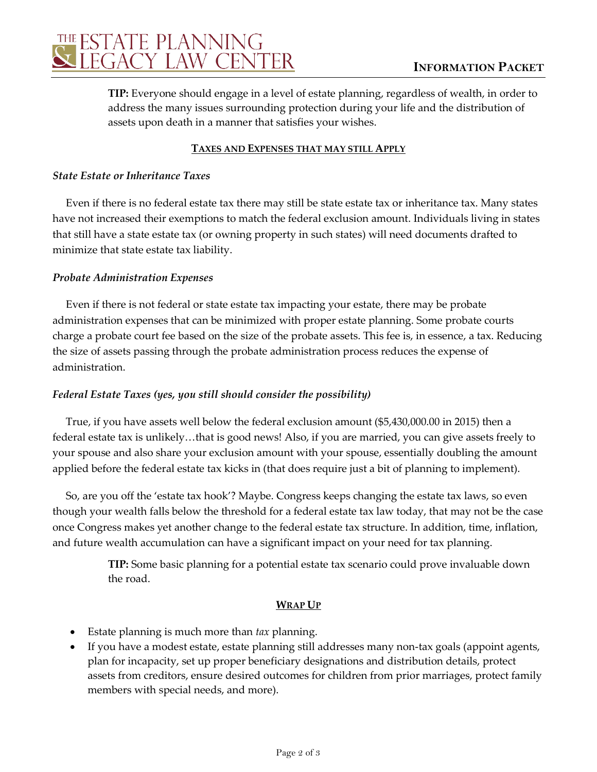

**TIP:** Everyone should engage in a level of estate planning, regardless of wealth, in order to address the many issues surrounding protection during your life and the distribution of assets upon death in a manner that satisfies your wishes.

### **TAXES AND EXPENSES THAT MAY STILL APPLY**

#### *State Estate or Inheritance Taxes*

Even if there is no federal estate tax there may still be state estate tax or inheritance tax. Many states have not increased their exemptions to match the federal exclusion amount. Individuals living in states that still have a state estate tax (or owning property in such states) will need documents drafted to minimize that state estate tax liability.

#### *Probate Administration Expenses*

Even if there is not federal or state estate tax impacting your estate, there may be probate administration expenses that can be minimized with proper estate planning. Some probate courts charge a probate court fee based on the size of the probate assets. This fee is, in essence, a tax. Reducing the size of assets passing through the probate administration process reduces the expense of administration.

### *Federal Estate Taxes (yes, you still should consider the possibility)*

True, if you have assets well below the federal exclusion amount (\$5,430,000.00 in 2015) then a federal estate tax is unlikely…that is good news! Also, if you are married, you can give assets freely to your spouse and also share your exclusion amount with your spouse, essentially doubling the amount applied before the federal estate tax kicks in (that does require just a bit of planning to implement).

So, are you off the 'estate tax hook'? Maybe. Congress keeps changing the estate tax laws, so even though your wealth falls below the threshold for a federal estate tax law today, that may not be the case once Congress makes yet another change to the federal estate tax structure. In addition, time, inflation, and future wealth accumulation can have a significant impact on your need for tax planning.

> **TIP:** Some basic planning for a potential estate tax scenario could prove invaluable down the road.

#### **WRAP UP**

- Estate planning is much more than *tax* planning.
- If you have a modest estate, estate planning still addresses many non-tax goals (appoint agents, plan for incapacity, set up proper beneficiary designations and distribution details, protect assets from creditors, ensure desired outcomes for children from prior marriages, protect family members with special needs, and more).